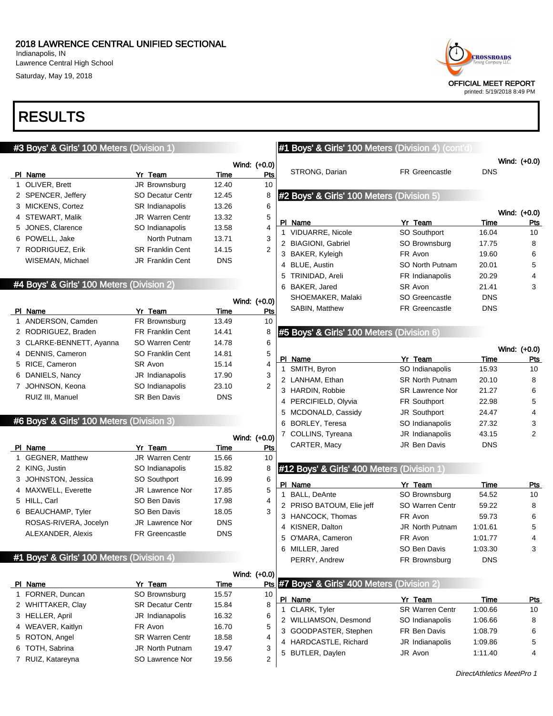Indianapolis, IN Lawrence Central High School Saturday, May 19, 2018

## RESULTS

### #3 Boys' & Girls' 100 Meters (Division 1)

|                    |                         |            | Wind: (+0.0) |
|--------------------|-------------------------|------------|--------------|
| PI Name            | Yr Team                 | Time       | Pts          |
| 1 OLIVER, Brett    | JR Brownsburg           | 12.40      | 10           |
| 2 SPENCER, Jeffery | <b>SO Decatur Centr</b> | 12.45      | 8            |
| 3 MICKENS, Cortez  | <b>SR Indianapolis</b>  | 13.26      | 6            |
| 4 STEWART, Malik   | <b>JR</b> Warren Centr  | 13.32      | 5            |
| 5 JONES, Clarence  | SO Indianapolis         | 13.58      | 4            |
| 6 POWELL, Jake     | North Putnam            | 13.71      | 3            |
| 7 RODRIGUEZ, Erik  | <b>SR Franklin Cent</b> | 14.15      | 2            |
| WISEMAN, Michael   | <b>JR Franklin Cent</b> | <b>DNS</b> |              |

### #4 Boys' & Girls' 100 Meters (Division 2)

|                  |                                                                                                                                                                  |            | Wind: (+0.0) |
|------------------|------------------------------------------------------------------------------------------------------------------------------------------------------------------|------------|--------------|
|                  | Yr Team                                                                                                                                                          | Time       | Pts          |
|                  | FR Brownsburg                                                                                                                                                    | 13.49      | 10           |
|                  | <b>FR Franklin Cent</b>                                                                                                                                          | 14.41      | 8            |
|                  | SO Warren Centr                                                                                                                                                  | 14.78      | 6            |
|                  | <b>SO Franklin Cent</b>                                                                                                                                          | 14.81      | 5            |
|                  | SR Avon                                                                                                                                                          | 15.14      | 4            |
|                  | JR Indianapolis                                                                                                                                                  | 17.90      | 3            |
|                  | SO Indianapolis                                                                                                                                                  | 23.10      | 2            |
| RUIZ III, Manuel | <b>SR Ben Davis</b>                                                                                                                                              | <b>DNS</b> |              |
|                  | PI Name<br>1 ANDERSON, Camden<br>2 RODRIGUEZ, Braden<br>3 CLARKE-BENNETT, Ayanna<br>4 DENNIS, Cameron<br>5 RICE, Cameron<br>6 DANIELS, Nancy<br>7 JOHNSON, Keona |            |              |

#### #6 Boys' & Girls' 100 Meters (Division 3)

|    |                         |                        |            | Wind: (+0.0) |
|----|-------------------------|------------------------|------------|--------------|
|    | Name                    | Yr Team                | Time       | Pts          |
| 1. | <b>GEGNER, Matthew</b>  | <b>JR Warren Centr</b> | 15.66      | 10           |
|    | 2 KING, Justin          | SO Indianapolis        | 15.82      | 8            |
|    | 3 JOHNSTON, Jessica     | <b>SO Southport</b>    | 16.99      | 6            |
|    | 4 MAXWELL, Everette     | <b>JR</b> Lawrence Nor | 17.85      | 5            |
|    | 5 HILL, Carl            | SO Ben Davis           | 17.98      | 4            |
| 6  | <b>BEAUCHAMP, Tyler</b> | SO Ben Davis           | 18.05      | 3            |
|    | ROSAS-RIVERA, Jocelyn   | <b>JR</b> Lawrence Nor | <b>DNS</b> |              |
|    | ALEXANDER, Alexis       | <b>FR Greencastle</b>  | <b>DNS</b> |              |

#### #1 Boys' & Girls' 100 Meters (Division 4)

|                   |                         | Wind: (+0.0) |                 |    |                                               |                        |         |            |
|-------------------|-------------------------|--------------|-----------------|----|-----------------------------------------------|------------------------|---------|------------|
| PI Name           | Yr Team                 | Time         |                 |    | Pts #7 Boys' & Girls' 400 Meters (Division 2) |                        |         |            |
| 1 FORNER, Duncan  | SO Brownsburg           | 15.57        | 10 <sup>°</sup> | PI | Name                                          | Yr<br>Team             | Time    | <b>Pts</b> |
| 2 WHITTAKER, Clay | <b>SR Decatur Centr</b> | 15.84        | 8               |    | CLARK, Tyler                                  | <b>SR Warren Centr</b> | 1:00.66 | 10         |
| 3 HELLER, April   | JR Indianapolis         | 16.32        | 6               |    | WILLIAMSON, Desmond                           | SO Indianapolis        | 1:06.66 | 8          |
| 4 WEAVER, Kaitlyn | FR Avon                 | 16.70        | 5               |    | 3 GOODPASTER, Stephen                         | FR Ben Davis           | 1:08.79 | 6          |
| 5 ROTON, Angel    | <b>SR Warren Centr</b>  | 18.58        | 4               |    |                                               |                        |         |            |
| 6 TOTH, Sabrina   | <b>JR North Putnam</b>  | 19.47        | 3               |    | 4 HARDCASTLE, Richard                         | JR Indianapolis        | 1:09.86 | 5          |
|                   |                         |              |                 |    | 5 BUTLER, Daylen                              | JR Avon                | 1:11.40 | 4          |
| 7 RUIZ, Katareyna | SO Lawrence Nor         | 19.56        | ے               |    |                                               |                        |         |            |

### #1 Boys' & Girls' 100 Meters (Division 4) (cont'd)

|     |                                           |                       |            | Wind: (+0.0) |
|-----|-------------------------------------------|-----------------------|------------|--------------|
|     | STRONG, Darian                            | <b>FR Greencastle</b> | <b>DNS</b> |              |
|     | #2 Boys' & Girls' 100 Meters (Division 5) |                       |            |              |
|     |                                           |                       |            | Wind: (+0.0) |
| PI. | Name                                      | Yr Team               | Time       | <b>Pts</b>   |
| 1   | <b>VIDUARRE, Nicole</b>                   | SO Southport          | 16.04      | 10           |
| 2   | <b>BIAGIONI, Gabriel</b>                  | SO Brownsburg         | 17.75      | 8            |
| 3   | BAKER, Kyleigh                            | FR Avon               | 19.60      | 6            |
| 4   | BLUE, Austin                              | SO North Putnam       | 20.01      | 5            |
| 5   | TRINIDAD, Areli                           | FR Indianapolis       | 20.29      | 4            |
| 6   | BAKER, Jared                              | SR Avon               | 21.41      | 3            |
|     | SHOEMAKER, Malaki                         | SO Greencastle        | <b>DNS</b> |              |
|     | SABIN, Matthew                            | <b>FR Greencastle</b> | <b>DNS</b> |              |
|     | #5 Boys' & Girls' 100 Meters (Division 6) |                       |            |              |
|     |                                           |                       |            |              |
|     |                                           |                       |            | Wind: (+0.0) |
| PI. | Name                                      | Yr Team               | Time       | Pts          |
|     | $\sim$ $\sim$ $\sim$                      |                       |            |              |

| .                    | .                      | .          | .  |
|----------------------|------------------------|------------|----|
| 1 SMITH, Byron       | SO Indianapolis        | 15.93      | 10 |
| 2 LANHAM, Ethan      | <b>SR North Putnam</b> | 20.10      | 8  |
| 3 HARDIN, Robbie     | <b>SR Lawrence Nor</b> | 21.27      | 6  |
| 4 PERCIFIELD, Olyvia | <b>FR Southport</b>    | 22.98      | 5  |
| 5 MCDONALD, Cassidy  | JR Southport           | 24.47      | 4  |
| 6 BORLEY, Teresa     | SO Indianapolis        | 27.32      | 3  |
| 7 COLLINS, Tyreana   | JR Indianapolis        | 43.15      | 2  |
| CARTER, Macy         | JR Ben Davis           | <b>DNS</b> |    |
|                      |                        |            |    |

### #12 Boys' & Girls' 400 Meters (Division 1)

|               | Yr Team                                                                                                                               | Time       | Pts |
|---------------|---------------------------------------------------------------------------------------------------------------------------------------|------------|-----|
|               | SO Brownsburg                                                                                                                         | 54.52      | 10  |
|               | SO Warren Centr                                                                                                                       | 59.22      | 8   |
|               | FR Avon                                                                                                                               | 59.73      | 6   |
|               | <b>JR North Putnam</b>                                                                                                                | 1:01.61    | 5   |
|               | FR Avon                                                                                                                               | 1:01.77    | 4   |
|               | SO Ben Davis                                                                                                                          | 1:03.30    | 3   |
| PERRY, Andrew | FR Brownsburg                                                                                                                         | <b>DNS</b> |     |
|               | PI Name<br>1 BALL, DeAnte<br>2 PRISO BATOUM, Elie jeff<br>3 HANCOCK, Thomas<br>4 KISNER, Dalton<br>5 O'MARA, Cameron<br>MILLER, Jared |            |     |

| PI Name               | Yr Team                | Time    | Pts |
|-----------------------|------------------------|---------|-----|
| 1 CLARK, Tyler        | <b>SR Warren Centr</b> | 1:00.66 | 10  |
| 2 WILLIAMSON, Desmond | SO Indianapolis        | 1:06.66 | 8   |
| 3 GOODPASTER, Stephen | FR Ben Davis           | 1:08.79 | 6   |
| 4 HARDCASTLE, Richard | JR Indianapolis        | 1:09.86 | 5   |
| 5 BUTLER, Daylen      | JR Avon                | 1:11.40 | 4   |

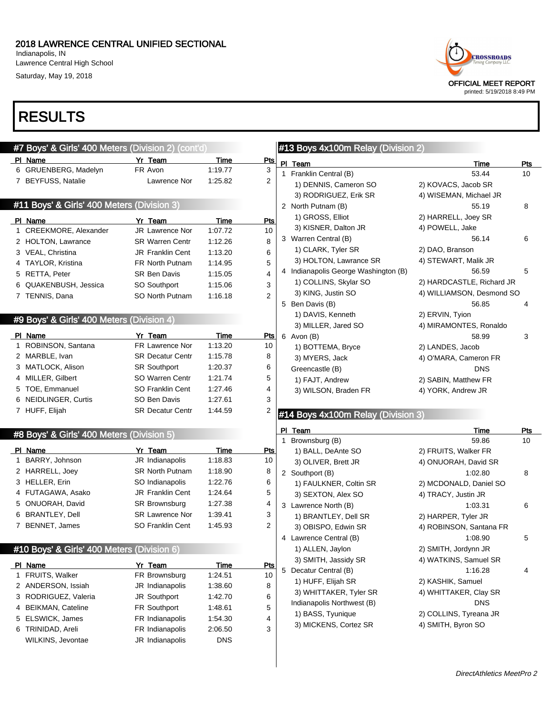Indianapolis, IN Lawrence Central High School Saturday, May 19, 2018

# RESULTS

|   | #7 Boys' & Girls' 400 Meters (Division 2) (cont'd) |                            |                        |                | #13 Boys 4x100m Relay (Division 2)   |                           |                |
|---|----------------------------------------------------|----------------------------|------------------------|----------------|--------------------------------------|---------------------------|----------------|
|   | PI Name                                            | Yr Team                    | Time                   | <b>Pts</b>     | PI Team                              | Time                      | Pt             |
|   | 6 GRUENBERG, Madelyn                               | FR Avon                    | 1:19.77                | 3              | 1 Franklin Central (B)               | 53.44                     | 10             |
|   | 7 BEYFUSS, Natalie                                 | Lawrence Nor               | 1:25.82                | 2              | 1) DENNIS, Cameron SO                | 2) KOVACS, Jacob SR       |                |
|   |                                                    |                            |                        |                | 3) RODRIGUEZ, Erik SR                | 4) WISEMAN, Michael JR    |                |
|   | #11 Boys' & Girls' 400 Meters (Division 3)         |                            |                        |                | 2 North Putnam (B)                   | 55.19                     | 8              |
|   | PI Name                                            | Yr Team                    | <b>Time</b>            | Pts            | 1) GROSS, Elliot                     | 2) HARRELL, Joey SR       |                |
|   | 1 CREEKMORE, Alexander                             | JR Lawrence Nor            | 1:07.72                | 10             | 3) KISNER, Dalton JR                 | 4) POWELL, Jake           |                |
|   | 2 HOLTON, Lawrance                                 | <b>SR Warren Centr</b>     | 1:12.26                | 8              | 3 Warren Central (B)                 | 56.14                     | 6              |
|   | 3 VEAL, Christina                                  | <b>JR Franklin Cent</b>    | 1:13.20                | 6              | 1) CLARK, Tyler SR                   | 2) DAO, Branson           |                |
|   | 4 TAYLOR, Kristina                                 | FR North Putnam            | 1:14.95                | 5              | 3) HOLTON, Lawrance SR               | 4) STEWART, Malik JR      |                |
|   | 5 RETTA, Peter                                     | <b>SR Ben Davis</b>        | 1:15.05                | 4              | 4 Indianapolis George Washington (B) | 56.59                     | 5              |
|   | 6 QUAKENBUSH, Jessica                              | SO Southport               | 1:15.06                | 3              | 1) COLLINS, Skylar SO                | 2) HARDCASTLE, Richard JR |                |
|   | 7 TENNIS, Dana                                     | SO North Putnam            | 1:16.18                | $\overline{2}$ | 3) KING, Justin SO                   | 4) WILLIAMSON, Desmond SO |                |
|   |                                                    |                            |                        |                | 5 Ben Davis (B)                      | 56.85                     |                |
|   | #9 Boys' & Girls' 400 Meters (Division 4)          |                            |                        |                | 1) DAVIS, Kenneth                    | 2) ERVIN, Tyion           |                |
|   |                                                    |                            |                        |                | 3) MILLER, Jared SO                  | 4) MIRAMONTES, Ronaldo    |                |
|   | PI Name                                            | Yr Team                    | Time                   | <u>Pts</u>     | 6 Avon (B)                           | 58.99                     | 3              |
|   | 1 ROBINSON, Santana                                | FR Lawrence Nor            | 1:13.20                | 10             | 1) BOTTEMA, Bryce                    | 2) LANDES, Jacob          |                |
|   | 2 MARBLE, Ivan                                     | <b>SR Decatur Centr</b>    | 1:15.78                | 8              | 3) MYERS, Jack                       | 4) O'MARA, Cameron FR     |                |
|   | 3 MATLOCK, Alison                                  | <b>SR Southport</b>        | 1:20.37                | 6              | Greencastle (B)                      | <b>DNS</b>                |                |
|   | 4 MILLER, Gilbert                                  | SO Warren Centr            | 1:21.74                | 5              | 1) FAJT, Andrew                      | 2) SABIN, Matthew FR      |                |
|   | 5 TOE, Emmanuel                                    | SO Franklin Cent           | 1:27.46                | 4              | 3) WILSON, Braden FR                 | 4) YORK, Andrew JR        |                |
|   | 6 NEIDLINGER, Curtis                               | SO Ben Davis               | 1:27.61                | 3              |                                      |                           |                |
|   | 7 HUFF, Elijah                                     | <b>SR Decatur Centr</b>    | 1:44.59                | 2              | #14 Boys 4x100m Relay (Division 3)   |                           |                |
|   | #8 Boys' & Girls' 400 Meters (Division 5)          |                            |                        |                | PI Team                              | Time                      | P <sub>t</sub> |
|   |                                                    |                            |                        |                | Brownsburg (B)<br>1                  | 59.86                     | 10             |
|   | PI Name<br>1 BARRY, Johnson                        | Yr Team<br>JR Indianapolis | <b>Time</b><br>1:18.83 | <u>Pts</u>     | 1) BALL, DeAnte SO                   | 2) FRUITS, Walker FR      |                |
|   |                                                    | SR North Putnam            | 1:18.90                | 10             | 3) OLIVER, Brett JR                  | 4) ONUORAH, David SR      |                |
|   | 2 HARRELL, Joey<br>3 HELLER, Erin                  | SO Indianapolis            | 1:22.76                | 8              | 2 Southport (B)                      | 1:02.80                   | 8              |
|   | 4 FUTAGAWA, Asako                                  | JR Franklin Cent           | 1:24.64                | 6<br>5         | 1) FAULKNER, Coltin SR               | 2) MCDONALD, Daniel SO    |                |
|   | 5 ONUORAH, David                                   | SR Brownsburg              | 1:27.38                |                | 3) SEXTON, Alex SO                   | 4) TRACY, Justin JR       |                |
|   | 6 BRANTLEY, Dell                                   | <b>SR Lawrence Nor</b>     | 1:39.41                | 4<br>3         | 3 Lawrence North (B)                 | 1:03.31                   | 6              |
|   | 7 BENNET, James                                    | <b>SO Franklin Cent</b>    | 1:45.93                | 2              | 1) BRANTLEY, Dell SR                 | 2) HARPER, Tyler JR       |                |
|   |                                                    |                            |                        |                | 3) OBISPO, Edwin SR                  | 4) ROBINSON, Santana FR   |                |
|   |                                                    |                            |                        |                | 4 Lawrence Central (B)               | 1:08.90                   | 5              |
|   | #10 Boys' & Girls' 400 Meters (Division 6)         |                            |                        |                | 1) ALLEN, Jaylon                     | 2) SMITH, Jordynn JR      |                |
|   | PI Name                                            | Yr Team                    | <b>Time</b>            | <b>Pts</b>     | 3) SMITH, Jassidy SR                 | 4) WATKINS, Samuel SR     |                |
|   | 1 FRUITS, Walker                                   | FR Brownsburg              | 1:24.51                | 10             | 5 Decatur Central (B)                | 1:16.28                   |                |
|   | 2 ANDERSON, Issiah                                 | JR Indianapolis            | 1:38.60                | 8              | 1) HUFF, Elijah SR                   | 2) KASHIK, Samuel         |                |
| 3 | RODRIGUEZ, Valeria                                 | JR Southport               | 1:42.70                | 6              | 3) WHITTAKER, Tyler SR               | 4) WHITTAKER, Clay SR     |                |
|   | <b>BEIKMAN, Cateline</b>                           | FR Southport               | 1:48.61                | 5              | Indianapolis Northwest (B)           | <b>DNS</b>                |                |
| 4 |                                                    |                            |                        |                |                                      |                           |                |
| 5 | ELSWICK, James                                     | FR Indianapolis            | 1:54.30                | 4              | 1) BASS, Tyunique                    | 2) COLLINS, Tyreana JR    |                |
|   | 6 TRINIDAD, Areli                                  | FR Indianapolis            | 2:06.50                | 3              | 3) MICKENS, Cortez SR                | 4) SMITH, Byron SO        |                |
|   | WILKINS, Jevontae                                  | JR Indianapolis            | <b>DNS</b>             |                |                                      |                           |                |



## ys 4x100m Relay (Division 2)

|   | PI Team                            | <b>Time</b>                                  | Pts       |
|---|------------------------------------|----------------------------------------------|-----------|
| 1 | Franklin Central (B)               | 53.44                                        | 10        |
|   | 1) DENNIS, Cameron SO              | 2) KOVACS, Jacob SR                          |           |
|   | 3) RODRIGUEZ, Erik SR              | 4) WISEMAN, Michael JR                       |           |
|   | 2 North Putnam (B)                 | 55.19                                        | 8         |
|   | 1) GROSS, Elliot                   | 2) HARRELL, Joey SR                          |           |
|   | 3) KISNER, Dalton JR               | 4) POWELL, Jake                              |           |
|   | 3 Warren Central (B)               | 56.14                                        | 6         |
|   | 1) CLARK, Tyler SR                 | 2) DAO, Branson                              |           |
|   | 3) HOLTON, Lawrance SR             | 4) STEWART, Malik JR                         |           |
| 4 | Indianapolis George Washington (B) | 56.59                                        | 5         |
|   | 1) COLLINS, Skylar SO              | 2) HARDCASTLE, Richard JR                    |           |
|   | 3) KING, Justin SO                 | 4) WILLIAMSON, Desmond SO                    |           |
|   | 5 Ben Davis (B)                    | 56.85                                        | 4         |
|   | 1) DAVIS, Kenneth                  | 2) ERVIN, Tyion                              |           |
|   | 3) MILLER, Jared SO                | 4) MIRAMONTES, Ronaldo                       |           |
|   | 6 Avon (B)                         | 58.99                                        | 3         |
|   | 1) BOTTEMA, Bryce                  | 2) LANDES, Jacob                             |           |
|   | 3) MYERS, Jack                     | 4) O'MARA, Cameron FR                        |           |
|   | Greencastle (B)                    | <b>DNS</b>                                   |           |
|   | 1) FAJT, Andrew                    | 2) SABIN, Matthew FR                         |           |
|   | 3) WILSON, Braden FR               | 4) YORK, Andrew JR                           |           |
|   |                                    |                                              |           |
|   | #14 Boys 4x100m Relay (Division 3) |                                              |           |
|   |                                    |                                              |           |
| 1 | PI Team                            | Time<br>59.86                                | Pts<br>10 |
|   | Brownsburg (B)                     |                                              |           |
|   | 1) BALL, DeAnte SO                 | 2) FRUITS, Walker FR<br>4) ONUORAH, David SR |           |
|   | 3) OLIVER, Brett JR                | 1:02.80                                      |           |
| 2 | Southport (B)                      |                                              | 8         |
|   | 1) FAULKNER, Coltin SR             | 2) MCDONALD, Daniel SO                       |           |
|   | 3) SEXTON, Alex SO                 | 4) TRACY, Justin JR                          |           |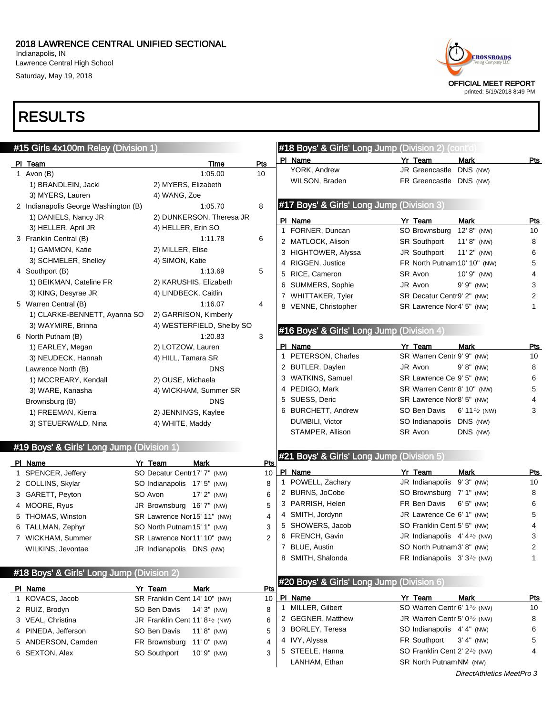Indianapolis, IN Lawrence Central High School Saturday, May 19, 2018

# RESULTS



| #15 Girls 4x100m Relay (Division 1)       |                                                         |                | #18 Boys' & Girls' Long Jump (Division 2) (cont'd)   |                                                        |                               |            |
|-------------------------------------------|---------------------------------------------------------|----------------|------------------------------------------------------|--------------------------------------------------------|-------------------------------|------------|
| PI Team                                   | <b>Time</b>                                             | Pts            | PI Name                                              | Yr Team                                                | Mark                          | <b>Pts</b> |
| 1 Avon $(B)$                              | 1:05.00                                                 | 10             | YORK, Andrew                                         | JR Greencastle DNS (NW)                                |                               |            |
| 1) BRANDLEIN, Jacki                       | 2) MYERS, Elizabeth                                     |                | WILSON, Braden                                       | FR Greencastle DNS (NW)                                |                               |            |
| 3) MYERS, Lauren                          | 4) WANG, Zoe                                            |                |                                                      |                                                        |                               |            |
| 2 Indianapolis George Washington (B)      | 1:05.70                                                 | 8              | #17 Boys' & Girls' Long Jump (Division 3)            |                                                        |                               |            |
| 1) DANIELS, Nancy JR                      | 2) DUNKERSON, Theresa JR                                |                |                                                      |                                                        |                               |            |
| 3) HELLER, April JR                       | 4) HELLER, Erin SO                                      |                | PI Name                                              | Yr Team                                                | <b>Mark</b>                   | <b>Pts</b> |
| 3 Franklin Central (B)                    | 1:11.78                                                 | 6              | 1 FORNER, Duncan<br>2 MATLOCK, Alison                | SO Brownsburg<br><b>SR Southport</b>                   | 12' 8" (NW)<br>$11' 8''$ (NW) | 10<br>8    |
| 1) GAMMON, Katie                          | 2) MILLER, Elise                                        |                | 3 HIGHTOWER, Alyssa                                  | JR Southport                                           | $11'2''$ (NW)                 |            |
| 3) SCHMELER, Shelley                      | 4) SIMON, Katie                                         |                | 4 RIGGEN, Justice                                    | FR North Putnam 10' 10" (NW)                           |                               | 6<br>5     |
| 4 Southport (B)                           | 1:13.69                                                 | 5              |                                                      |                                                        |                               |            |
| 1) BEIKMAN, Cateline FR                   | 2) KARUSHIS, Elizabeth                                  |                | 5 RICE, Cameron                                      | SR Avon                                                | 10' 9" (NW)                   | 4          |
| 3) KING, Desyrae JR                       | 4) LINDBECK, Caitlin                                    |                | 6 SUMMERS, Sophie                                    | JR Avon                                                | $9' 9''$ (NW)                 | 3          |
| 5 Warren Central (B)                      | 1:16.07                                                 | 4              | 7 WHITTAKER, Tyler                                   | SR Decatur Centr9' 2" (NW)                             |                               | 2          |
| 1) CLARKE-BENNETT, Ayanna SO              | 2) GARRISON, Kimberly                                   |                | 8 VENNE, Christopher                                 | SR Lawrence Nor4' 5" (NW)                              |                               | 1          |
| 3) WAYMIRE, Brinna                        | 4) WESTERFIELD, Shelby SO                               |                |                                                      |                                                        |                               |            |
| 6 North Putnam (B)                        | 1:20.83                                                 | 3              | #16 Boys' & Girls' Long Jump (Division 4)            |                                                        |                               |            |
| 1) EARLEY, Megan                          | 2) LOTZOW, Lauren                                       |                | PI Name                                              | Yr Team                                                | <b>Mark</b>                   | <u>Pts</u> |
| 3) NEUDECK, Hannah                        | 4) HILL, Tamara SR                                      |                | 1 PETERSON, Charles                                  | SR Warren Centr 9' 9" (NW)                             |                               | 10         |
| Lawrence North (B)                        | <b>DNS</b>                                              |                | 2 BUTLER, Daylen                                     | JR Avon                                                | $9' 8''$ (NW)                 | 8          |
| 1) MCCREARY, Kendall                      | 2) OUSE, Michaela                                       |                | 3 WATKINS, Samuel                                    | SR Lawrence Ce 9' 5" (NW)                              |                               | 6          |
| 3) WARE, Kanasha                          | 4) WICKHAM, Summer SR                                   |                | 4 PEDIGO, Mark                                       | SR Warren Centr 8' 10" (NW)                            |                               | 5          |
| Brownsburg (B)                            | <b>DNS</b>                                              |                | 5 SUESS, Deric                                       | SR Lawrence Nor8' 5" (NW)                              |                               | 4          |
| 1) FREEMAN, Kierra                        | 2) JENNINGS, Kaylee                                     |                | 6 BURCHETT, Andrew                                   | SO Ben Davis                                           | 6' 11 $\frac{1}{2}$ (NW)      | 3          |
| 3) STEUERWALD, Nina                       | 4) WHITE, Maddy                                         |                | DUMBILI, Victor                                      | SO Indianapolis DNS (NW)                               |                               |            |
|                                           |                                                         |                | STAMPER, Allison                                     | SR Avon                                                | DNS (NW)                      |            |
| #19 Boys' & Girls' Long Jump (Division 1) |                                                         |                |                                                      |                                                        |                               |            |
|                                           |                                                         |                | <b>#21 Boys' &amp; Girls' Long Jump (Division</b> 5) |                                                        |                               |            |
| PI Name                                   | Yr Team<br><b>Mark</b>                                  | Pts            |                                                      |                                                        |                               |            |
| 1 SPENCER, Jeffery                        | SO Decatur Centr17' 7" (NW)                             | 10             | PI Name                                              | Yr Team                                                | Mark                          | Pts        |
| 2 COLLINS, Skylar                         | SO Indianapolis 17' 5" (NW)                             | 8              | 1 POWELL, Zachary                                    | JR Indianapolis 9'3" (NW)                              |                               | 10         |
| 3 GARETT, Peyton                          | SO Avon<br>17' 2" (NW)                                  | 6              | 2 BURNS, JoCobe                                      | SO Brownsburg 7' 1" (NW)                               |                               | 8          |
| 4 MOORE, Ryus                             | JR Brownsburg 16' 7" (NW)                               | 5              | 3 PARRISH, Helen                                     | FR Ben Davis                                           | $6'5''$ (NW)                  | 6          |
| 5 THOMAS, Winston                         | SR Lawrence Nor15' 11" (NW)                             | 4              | 4 SMITH, Jordynn                                     | JR Lawrence Ce 6' 1" (NW)                              |                               | 5          |
| 6 TALLMAN, Zephyr                         | SO North Putnam15' 1" (NW)                              | 3              | 5 SHOWERS, Jacob                                     | SO Franklin Cent 5' 5" (NW)                            |                               | 4          |
| 7 WICKHAM, Summer                         | SR Lawrence Nor11' 10" (NW)                             | $\overline{2}$ | 6 FRENCH, Gavin                                      | JR Indianapolis $4'4'$ (NW)                            |                               | 3          |
| WILKINS, Jevontae                         | JR Indianapolis DNS (NW)                                |                | 7 BLUE, Austin                                       | SO North Putnam3' 8" (NW)                              |                               | 2          |
|                                           |                                                         |                | 8 SMITH, Shalonda                                    | FR Indianapolis $3'3'$ (NW)                            |                               | 1          |
| #18 Boys' & Girls' Long Jump (Division 2) |                                                         |                |                                                      |                                                        |                               |            |
| PI Name                                   | Yr Team<br>Mark                                         | Pts            | #20 Boys' & Girls' Long Jump (Division 6)            |                                                        |                               |            |
| 1 KOVACS, Jacob                           | SR Franklin Cent 14' 10" (NW)                           | 10             | PI Name                                              | Yr Team                                                | Mark                          | <u>Pts</u> |
| 2 RUIZ, Brodyn                            | SO Ben Davis<br>$14'3''$ (NW)                           | 8              | 1 MILLER, Gilbert                                    | SO Warren Centr 6' 1 <sup>1/2</sup> (NW)               |                               | 10         |
| 3 VEAL, Christina                         | JR Franklin Cent 11' 8 <sup>1</sup> / <sub>2</sub> (NW) | 6              | 2 GEGNER, Matthew                                    | JR Warren Centr 5' 0 <sup>1</sup> / <sub>2</sub> (NW)  |                               | 8          |
| 4 PINEDA, Jefferson                       | SO Ben Davis<br>$11' 8''$ (NW)                          | 5              | 3 BORLEY, Teresa                                     | SO Indianapolis 4' 4" (NW)                             |                               | 6          |
| 5 ANDERSON, Camden                        | FR Brownsburg<br>11' 0" (NW)                            | 4              | 4 IVY, Alyssa                                        | FR Southport                                           | $3' 4''$ (NW)                 | 5          |
| 6 SEXTON, Alex                            | SO Southport<br>10' 9" (NW)                             | 3              | 5 STEELE, Hanna                                      | SO Franklin Cent 2' 2 <sup>1</sup> / <sub>2</sub> (NW) |                               | 4          |
|                                           |                                                         |                | LANHAM, Ethan                                        | SR North PutnamNM (NW)                                 |                               |            |
|                                           |                                                         |                |                                                      |                                                        |                               |            |